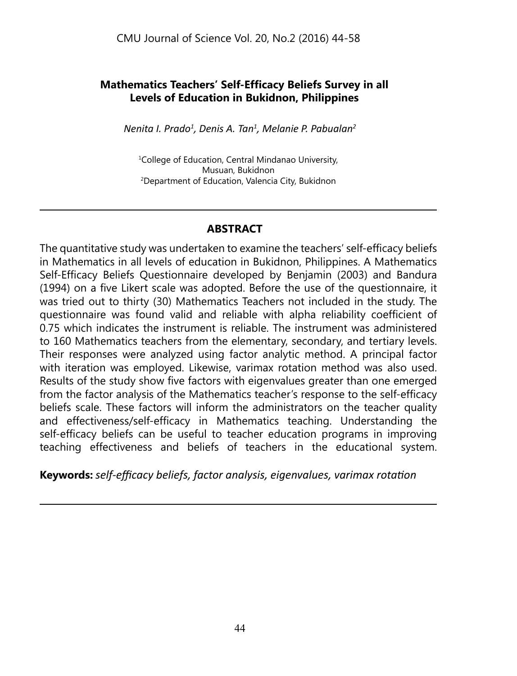## **Mathematics Teachers' Self-Efficacy Beliefs Survey in all Levels of Education in Bukidnon, Philippines**

*Nenita I. Prado<sup>1</sup> , Denis A. Tan<sup>1</sup> , Melanie P. Pabualan<sup>2</sup>*

1 College of Education, Central Mindanao University, Musuan, Bukidnon 2 Department of Education, Valencia City, Bukidnon

#### **Abstract**

The quantitative study was undertaken to examine the teachers' self-efficacy beliefs in Mathematics in all levels of education in Bukidnon, Philippines. A Mathematics Self-Efficacy Beliefs Questionnaire developed by Benjamin (2003) and Bandura (1994) on a five Likert scale was adopted. Before the use of the questionnaire, it was tried out to thirty (30) Mathematics Teachers not included in the study. The questionnaire was found valid and reliable with alpha reliability coefficient of 0.75 which indicates the instrument is reliable. The instrument was administered to 160 Mathematics teachers from the elementary, secondary, and tertiary levels. Their responses were analyzed using factor analytic method. A principal factor with iteration was employed. Likewise, varimax rotation method was also used. Results of the study show five factors with eigenvalues greater than one emerged from the factor analysis of the Mathematics teacher's response to the self-efficacy beliefs scale. These factors will inform the administrators on the teacher quality and effectiveness/self-efficacy in Mathematics teaching. Understanding the self-efficacy beliefs can be useful to teacher education programs in improving teaching effectiveness and beliefs of teachers in the educational system.

**Keywords:** *self-efficacy beliefs, factor analysis, eigenvalues, varimax rotation*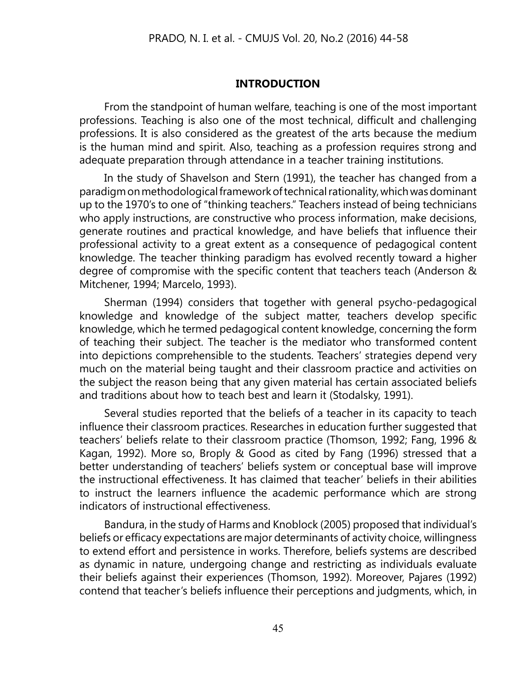#### **Introduction**

From the standpoint of human welfare, teaching is one of the most important professions. Teaching is also one of the most technical, difficult and challenging professions. It is also considered as the greatest of the arts because the medium is the human mind and spirit. Also, teaching as a profession requires strong and adequate preparation through attendance in a teacher training institutions.

In the study of Shavelson and Stern (1991), the teacher has changed from a paradigm on methodological framework of technical rationality, which was dominant up to the 1970's to one of "thinking teachers." Teachers instead of being technicians who apply instructions, are constructive who process information, make decisions, generate routines and practical knowledge, and have beliefs that influence their professional activity to a great extent as a consequence of pedagogical content knowledge. The teacher thinking paradigm has evolved recently toward a higher degree of compromise with the specific content that teachers teach (Anderson & Mitchener, 1994; Marcelo, 1993).

Sherman (1994) considers that together with general psycho-pedagogical knowledge and knowledge of the subject matter, teachers develop specific knowledge, which he termed pedagogical content knowledge, concerning the form of teaching their subject. The teacher is the mediator who transformed content into depictions comprehensible to the students. Teachers' strategies depend very much on the material being taught and their classroom practice and activities on the subject the reason being that any given material has certain associated beliefs and traditions about how to teach best and learn it (Stodalsky, 1991).

Several studies reported that the beliefs of a teacher in its capacity to teach influence their classroom practices. Researches in education further suggested that teachers' beliefs relate to their classroom practice (Thomson, 1992; Fang, 1996 & Kagan, 1992). More so, Broply & Good as cited by Fang (1996) stressed that a better understanding of teachers' beliefs system or conceptual base will improve the instructional effectiveness. It has claimed that teacher' beliefs in their abilities to instruct the learners influence the academic performance which are strong indicators of instructional effectiveness.

Bandura, in the study of Harms and Knoblock (2005) proposed that individual's beliefs or efficacy expectations are major determinants of activity choice, willingness to extend effort and persistence in works. Therefore, beliefs systems are described as dynamic in nature, undergoing change and restricting as individuals evaluate their beliefs against their experiences (Thomson, 1992). Moreover, Pajares (1992) contend that teacher's beliefs influence their perceptions and judgments, which, in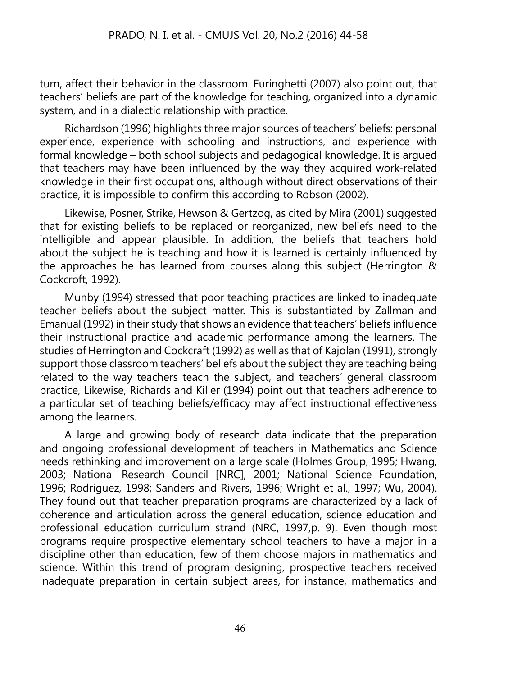turn, affect their behavior in the classroom. Furinghetti (2007) also point out, that teachers' beliefs are part of the knowledge for teaching, organized into a dynamic system, and in a dialectic relationship with practice.

Richardson (1996) highlights three major sources of teachers' beliefs: personal experience, experience with schooling and instructions, and experience with formal knowledge – both school subjects and pedagogical knowledge. It is argued that teachers may have been influenced by the way they acquired work-related knowledge in their first occupations, although without direct observations of their practice, it is impossible to confirm this according to Robson (2002).

Likewise, Posner, Strike, Hewson & Gertzog, as cited by Mira (2001) suggested that for existing beliefs to be replaced or reorganized, new beliefs need to the intelligible and appear plausible. In addition, the beliefs that teachers hold about the subject he is teaching and how it is learned is certainly influenced by the approaches he has learned from courses along this subject (Herrington & Cockcroft, 1992).

Munby (1994) stressed that poor teaching practices are linked to inadequate teacher beliefs about the subject matter. This is substantiated by Zallman and Emanual (1992) in their study that shows an evidence that teachers' beliefs influence their instructional practice and academic performance among the learners. The studies of Herrington and Cockcraft (1992) as well as that of Kajolan (1991), strongly support those classroom teachers' beliefs about the subject they are teaching being related to the way teachers teach the subject, and teachers' general classroom practice, Likewise, Richards and Killer (1994) point out that teachers adherence to a particular set of teaching beliefs/efficacy may affect instructional effectiveness among the learners.

A large and growing body of research data indicate that the preparation and ongoing professional development of teachers in Mathematics and Science needs rethinking and improvement on a large scale (Holmes Group, 1995; Hwang, 2003; National Research Council [NRC], 2001; National Science Foundation, 1996; Rodriguez, 1998; Sanders and Rivers, 1996; Wright et al., 1997; Wu, 2004). They found out that teacher preparation programs are characterized by a lack of coherence and articulation across the general education, science education and professional education curriculum strand (NRC, 1997,p. 9). Even though most programs require prospective elementary school teachers to have a major in a discipline other than education, few of them choose majors in mathematics and science. Within this trend of program designing, prospective teachers received inadequate preparation in certain subject areas, for instance, mathematics and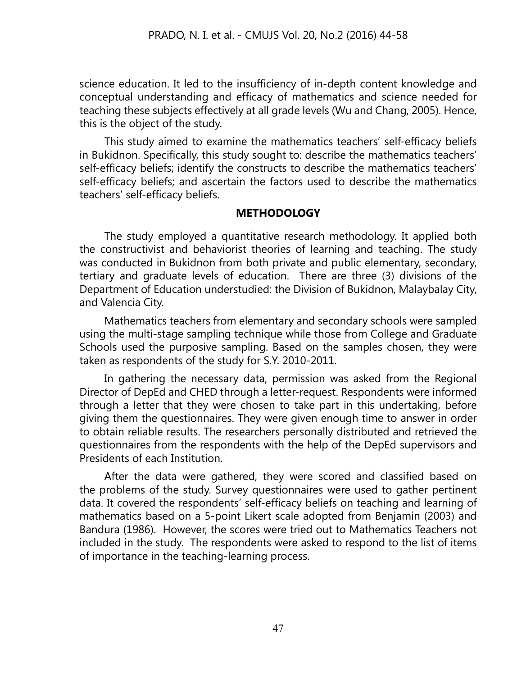science education. It led to the insufficiency of in-depth content knowledge and conceptual understanding and efficacy of mathematics and science needed for teaching these subjects effectively at all grade levels (Wu and Chang, 2005). Hence, this is the object of the study.

This study aimed to examine the mathematics teachers' self-efficacy beliefs in Bukidnon. Specifically, this study sought to: describe the mathematics teachers' self-efficacy beliefs; identify the constructs to describe the mathematics teachers' self-efficacy beliefs; and ascertain the factors used to describe the mathematics teachers' self-efficacy beliefs.

### **METHODOLOGY**

The study employed a quantitative research methodology. It applied both the constructivist and behaviorist theories of learning and teaching. The study was conducted in Bukidnon from both private and public elementary, secondary, tertiary and graduate levels of education. There are three (3) divisions of the Department of Education understudied: the Division of Bukidnon, Malaybalay City, and Valencia City.

Mathematics teachers from elementary and secondary schools were sampled using the multi-stage sampling technique while those from College and Graduate Schools used the purposive sampling. Based on the samples chosen, they were taken as respondents of the study for S.Y. 2010-2011.

In gathering the necessary data, permission was asked from the Regional Director of DepEd and CHED through a letter-request. Respondents were informed through a letter that they were chosen to take part in this undertaking, before giving them the questionnaires. They were given enough time to answer in order to obtain reliable results. The researchers personally distributed and retrieved the questionnaires from the respondents with the help of the DepEd supervisors and Presidents of each Institution.

After the data were gathered, they were scored and classified based on the problems of the study. Survey questionnaires were used to gather pertinent data. It covered the respondents' self-efficacy beliefs on teaching and learning of mathematics based on a 5-point Likert scale adopted from Benjamin (2003) and Bandura (1986). However, the scores were tried out to Mathematics Teachers not included in the study. The respondents were asked to respond to the list of items of importance in the teaching-learning process.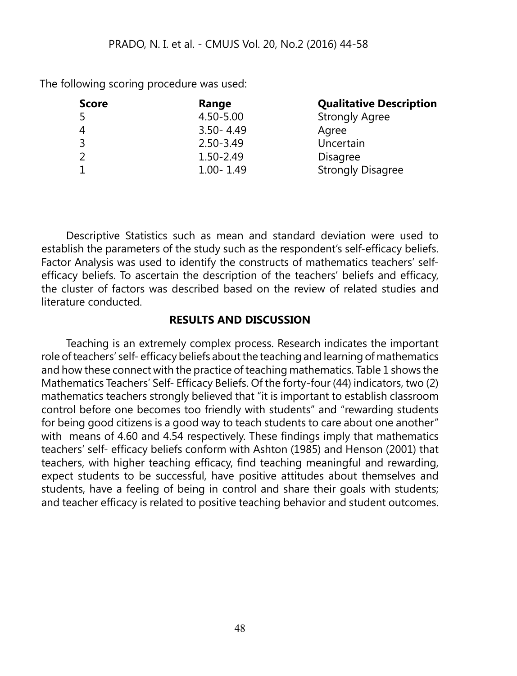The following scoring procedure was used:

| Range         | <b>Qualitative Description</b> |
|---------------|--------------------------------|
| 4.50-5.00     | <b>Strongly Agree</b>          |
| $3.50 - 4.49$ | Agree                          |
| $2.50 - 3.49$ | Uncertain                      |
| 1.50-2.49     | <b>Disagree</b>                |
| $1.00 - 1.49$ | <b>Strongly Disagree</b>       |
|               |                                |

Descriptive Statistics such as mean and standard deviation were used to establish the parameters of the study such as the respondent's self-efficacy beliefs. Factor Analysis was used to identify the constructs of mathematics teachers' selfefficacy beliefs. To ascertain the description of the teachers' beliefs and efficacy, the cluster of factors was described based on the review of related studies and literature conducted.

#### **RESULTS AND DISCUSSION**

Teaching is an extremely complex process. Research indicates the important role of teachers' self- efficacy beliefs about the teaching and learning of mathematics and how these connect with the practice of teaching mathematics. Table 1 shows the Mathematics Teachers' Self- Efficacy Beliefs. Of the forty-four (44) indicators, two (2) mathematics teachers strongly believed that "it is important to establish classroom control before one becomes too friendly with students" and "rewarding students for being good citizens is a good way to teach students to care about one another" with means of 4.60 and 4.54 respectively. These findings imply that mathematics teachers' self- efficacy beliefs conform with Ashton (1985) and Henson (2001) that teachers, with higher teaching efficacy, find teaching meaningful and rewarding, expect students to be successful, have positive attitudes about themselves and students, have a feeling of being in control and share their goals with students; and teacher efficacy is related to positive teaching behavior and student outcomes.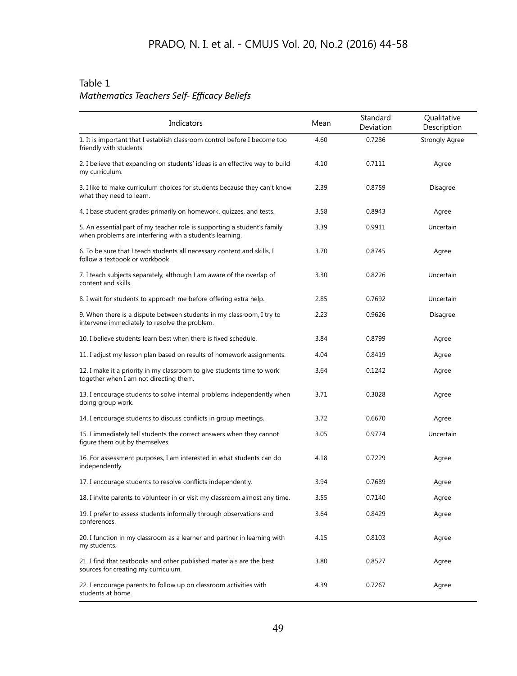#### Table 1 *Mathematics Teachers Self- Efficacy Beliefs*

| Indicators                                                                                                                           | Mean | Standard<br>Deviation | Qualitative<br>Description |
|--------------------------------------------------------------------------------------------------------------------------------------|------|-----------------------|----------------------------|
| 1. It is important that I establish classroom control before I become too<br>friendly with students.                                 | 4.60 | 0.7286                | <b>Strongly Agree</b>      |
| 2. I believe that expanding on students' ideas is an effective way to build<br>my curriculum.                                        | 4.10 | 0.7111                | Agree                      |
| 3. I like to make curriculum choices for students because they can't know<br>what they need to learn.                                | 2.39 | 0.8759                | Disagree                   |
| 4. I base student grades primarily on homework, quizzes, and tests.                                                                  | 3.58 | 0.8943                | Agree                      |
| 5. An essential part of my teacher role is supporting a student's family<br>when problems are interfering with a student's learning. | 3.39 | 0.9911                | Uncertain                  |
| 6. To be sure that I teach students all necessary content and skills, I<br>follow a textbook or workbook.                            | 3.70 | 0.8745                | Agree                      |
| 7. I teach subjects separately, although I am aware of the overlap of<br>content and skills.                                         | 3.30 | 0.8226                | Uncertain                  |
| 8. I wait for students to approach me before offering extra help.                                                                    | 2.85 | 0.7692                | Uncertain                  |
| 9. When there is a dispute between students in my classroom, I try to<br>intervene immediately to resolve the problem.               | 2.23 | 0.9626                | Disagree                   |
| 10. I believe students learn best when there is fixed schedule.                                                                      | 3.84 | 0.8799                | Agree                      |
| 11. I adjust my lesson plan based on results of homework assignments.                                                                | 4.04 | 0.8419                | Agree                      |
| 12. I make it a priority in my classroom to give students time to work<br>together when I am not directing them.                     | 3.64 | 0.1242                | Agree                      |
| 13. I encourage students to solve internal problems independently when<br>doing group work.                                          | 3.71 | 0.3028                | Agree                      |
| 14. I encourage students to discuss conflicts in group meetings.                                                                     | 3.72 | 0.6670                | Agree                      |
| 15. I immediately tell students the correct answers when they cannot<br>figure them out by themselves.                               | 3.05 | 0.9774                | Uncertain                  |
| 16. For assessment purposes, I am interested in what students can do<br>independently.                                               | 4.18 | 0.7229                | Agree                      |
| 17. I encourage students to resolve conflicts independently.                                                                         | 3.94 | 0.7689                | Agree                      |
| 18. I invite parents to volunteer in or visit my classroom almost any time.                                                          | 3.55 | 0.7140                | Agree                      |
| 19. I prefer to assess students informally through observations and<br>conferences.                                                  | 3.64 | 0.8429                | Agree                      |
| 20. I function in my classroom as a learner and partner in learning with<br>my students.                                             | 4.15 | 0.8103                | Agree                      |
| 21. I find that textbooks and other published materials are the best<br>sources for creating my curriculum.                          | 3.80 | 0.8527                | Agree                      |
| 22. I encourage parents to follow up on classroom activities with<br>students at home.                                               | 4.39 | 0.7267                | Agree                      |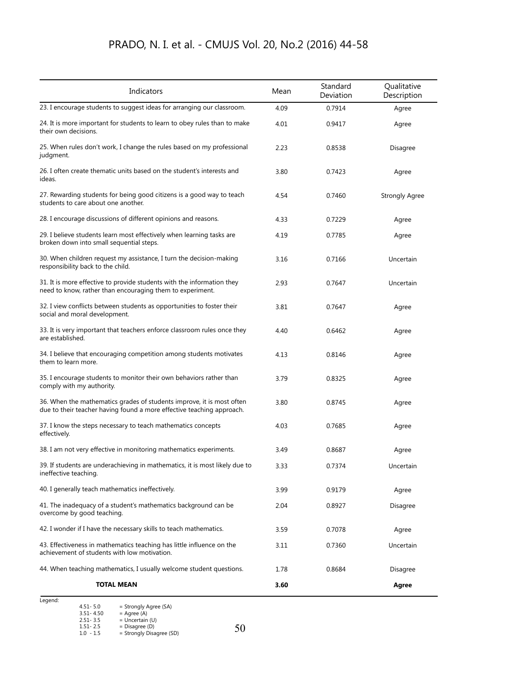| Indicators                                                                                                                                     | Mean | Standard<br>Deviation | Qualitative<br>Description |
|------------------------------------------------------------------------------------------------------------------------------------------------|------|-----------------------|----------------------------|
| 23. I encourage students to suggest ideas for arranging our classroom.                                                                         | 4.09 | 0.7914                | Agree                      |
| 24. It is more important for students to learn to obey rules than to make<br>their own decisions.                                              | 4.01 | 0.9417                | Agree                      |
| 25. When rules don't work, I change the rules based on my professional<br>judgment.                                                            | 2.23 | 0.8538                | Disagree                   |
| 26. I often create thematic units based on the student's interests and<br>ideas.                                                               | 3.80 | 0.7423                | Agree                      |
| 27. Rewarding students for being good citizens is a good way to teach<br>students to care about one another.                                   | 4.54 | 0.7460                | <b>Strongly Agree</b>      |
| 28. I encourage discussions of different opinions and reasons.                                                                                 | 4.33 | 0.7229                | Agree                      |
| 29. I believe students learn most effectively when learning tasks are<br>broken down into small sequential steps.                              | 4.19 | 0.7785                | Agree                      |
| 30. When children request my assistance, I turn the decision-making<br>responsibility back to the child.                                       | 3.16 | 0.7166                | Uncertain                  |
| 31. It is more effective to provide students with the information they<br>need to know, rather than encouraging them to experiment.            | 2.93 | 0.7647                | Uncertain                  |
| 32. I view conflicts between students as opportunities to foster their<br>social and moral development.                                        | 3.81 | 0.7647                | Agree                      |
| 33. It is very important that teachers enforce classroom rules once they<br>are established.                                                   | 4.40 | 0.6462                | Agree                      |
| 34. I believe that encouraging competition among students motivates<br>them to learn more.                                                     | 4.13 | 0.8146                | Agree                      |
| 35. I encourage students to monitor their own behaviors rather than<br>comply with my authority.                                               | 3.79 | 0.8325                | Agree                      |
| 36. When the mathematics grades of students improve, it is most often<br>due to their teacher having found a more effective teaching approach. | 3.80 | 0.8745                | Agree                      |
| 37. I know the steps necessary to teach mathematics concepts<br>effectively.                                                                   | 4.03 | 0.7685                | Agree                      |
| 38. I am not very effective in monitoring mathematics experiments.                                                                             | 3.49 | 0.8687                | Agree                      |
| 39. If students are underachieving in mathematics, it is most likely due to<br>ineffective teaching.                                           | 3.33 | 0.7374                | Uncertain                  |
| 40. I generally teach mathematics ineffectively.                                                                                               | 3.99 | 0.9179                | Agree                      |
| 41. The inadequacy of a student's mathematics background can be<br>overcome by good teaching.                                                  | 2.04 | 0.8927                | Disagree                   |
| 42. I wonder if I have the necessary skills to teach mathematics.                                                                              | 3.59 | 0.7078                | Agree                      |
| 43. Effectiveness in mathematics teaching has little influence on the<br>achievement of students with low motivation.                          | 3.11 | 0.7360                | Uncertain                  |
| 44. When teaching mathematics, I usually welcome student questions.                                                                            | 1.78 | 0.8684                | Disagree                   |
| <b>TOTAL MEAN</b>                                                                                                                              | 3.60 |                       | Agree                      |

| Legend: |               |                          |    |
|---------|---------------|--------------------------|----|
|         | $4.51 - 5.0$  | = Strongly Agree (SA)    |    |
|         | $3.51 - 4.50$ | $=$ Agree (A)            |    |
|         | $2.51 - 3.5$  | $=$ Uncertain (U)        |    |
|         | $1.51 - 2.5$  | $= Disagree(D)$          | 50 |
|         | $1.0 - 1.5$   | = Strongly Disagree (SD) |    |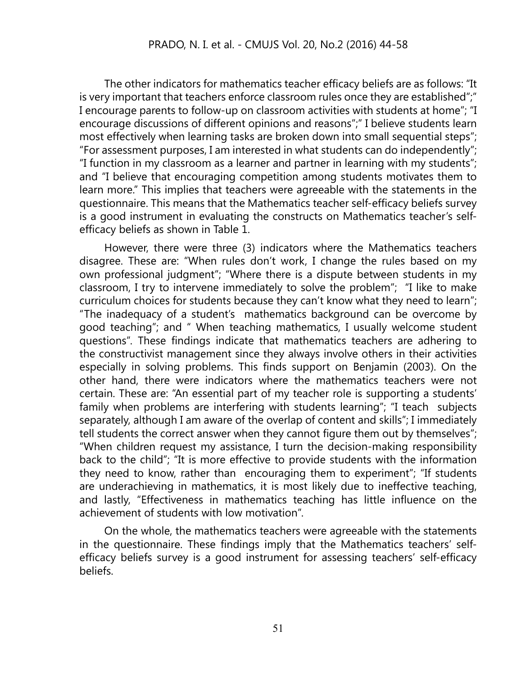The other indicators for mathematics teacher efficacy beliefs are as follows: "It is very important that teachers enforce classroom rules once they are established";" I encourage parents to follow-up on classroom activities with students at home"; "I encourage discussions of different opinions and reasons";" I believe students learn most effectively when learning tasks are broken down into small sequential steps"; "For assessment purposes, I am interested in what students can do independently"; "I function in my classroom as a learner and partner in learning with my students"; and "I believe that encouraging competition among students motivates them to learn more." This implies that teachers were agreeable with the statements in the questionnaire. This means that the Mathematics teacher self-efficacy beliefs survey is a good instrument in evaluating the constructs on Mathematics teacher's selfefficacy beliefs as shown in Table 1.

However, there were three (3) indicators where the Mathematics teachers disagree. These are: "When rules don't work, I change the rules based on my own professional judgment"; "Where there is a dispute between students in my classroom, I try to intervene immediately to solve the problem"; "I like to make curriculum choices for students because they can't know what they need to learn"; "The inadequacy of a student's mathematics background can be overcome by good teaching"; and " When teaching mathematics, I usually welcome student questions". These findings indicate that mathematics teachers are adhering to the constructivist management since they always involve others in their activities especially in solving problems. This finds support on Benjamin (2003). On the other hand, there were indicators where the mathematics teachers were not certain. These are: "An essential part of my teacher role is supporting a students' family when problems are interfering with students learning"; "I teach subjects separately, although I am aware of the overlap of content and skills"; I immediately tell students the correct answer when they cannot figure them out by themselves"; "When children request my assistance, I turn the decision-making responsibility back to the child"; "It is more effective to provide students with the information they need to know, rather than encouraging them to experiment"; "If students are underachieving in mathematics, it is most likely due to ineffective teaching, and lastly, "Effectiveness in mathematics teaching has little influence on the achievement of students with low motivation".

On the whole, the mathematics teachers were agreeable with the statements in the questionnaire. These findings imply that the Mathematics teachers' selfefficacy beliefs survey is a good instrument for assessing teachers' self-efficacy beliefs.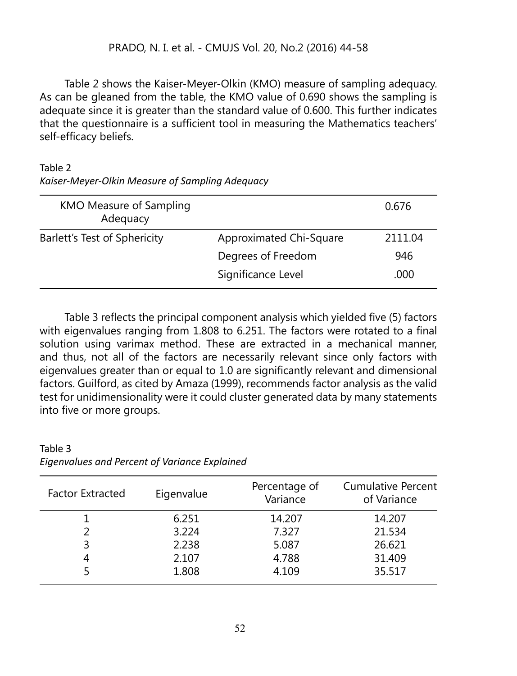Table 2 shows the Kaiser-Meyer-Olkin (KMO) measure of sampling adequacy. As can be gleaned from the table, the KMO value of 0.690 shows the sampling is adequate since it is greater than the standard value of 0.600. This further indicates that the questionnaire is a sufficient tool in measuring the Mathematics teachers' self-efficacy beliefs.

#### Table 2 *Kaiser-Meyer-Olkin Measure of Sampling Adequacy*

| KMO Measure of Sampling<br>Adequacy |                         | 0.676   |
|-------------------------------------|-------------------------|---------|
| Barlett's Test of Sphericity        | Approximated Chi-Square | 2111.04 |
|                                     | Degrees of Freedom      | 946     |
|                                     | Significance Level      | .000    |

Table 3 reflects the principal component analysis which yielded five (5) factors with eigenvalues ranging from 1.808 to 6.251. The factors were rotated to a final solution using varimax method. These are extracted in a mechanical manner, and thus, not all of the factors are necessarily relevant since only factors with eigenvalues greater than or equal to 1.0 are significantly relevant and dimensional factors. Guilford, as cited by Amaza (1999), recommends factor analysis as the valid test for unidimensionality were it could cluster generated data by many statements into five or more groups.

| Eigenvalue | Percentage of<br>Variance | Cumulative Percent<br>of Variance |
|------------|---------------------------|-----------------------------------|
| 6.251      | 14.207                    | 14.207                            |
| 3.224      | 7.327                     | 21.534                            |
| 2.238      | 5.087                     | 26.621                            |
| 2.107      | 4.788                     | 31.409                            |
| 1.808      | 4.109                     | 35.517                            |
|            |                           |                                   |

Table 3 *Eigenvalues and Percent of Variance Explained*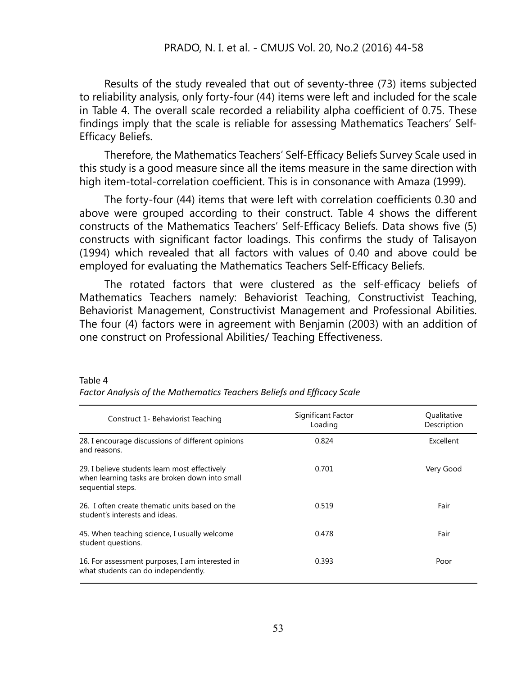Results of the study revealed that out of seventy-three (73) items subjected to reliability analysis, only forty-four (44) items were left and included for the scale in Table 4. The overall scale recorded a reliability alpha coefficient of 0.75. These findings imply that the scale is reliable for assessing Mathematics Teachers' Self-Efficacy Beliefs.

Therefore, the Mathematics Teachers' Self-Efficacy Beliefs Survey Scale used in this study is a good measure since all the items measure in the same direction with high item-total-correlation coefficient. This is in consonance with Amaza (1999).

The forty-four (44) items that were left with correlation coefficients 0.30 and above were grouped according to their construct. Table 4 shows the different constructs of the Mathematics Teachers' Self-Efficacy Beliefs. Data shows five (5) constructs with significant factor loadings. This confirms the study of Talisayon (1994) which revealed that all factors with values of 0.40 and above could be employed for evaluating the Mathematics Teachers Self-Efficacy Beliefs.

The rotated factors that were clustered as the self-efficacy beliefs of Mathematics Teachers namely: Behaviorist Teaching, Constructivist Teaching, Behaviorist Management, Constructivist Management and Professional Abilities. The four (4) factors were in agreement with Benjamin (2003) with an addition of one construct on Professional Abilities/ Teaching Effectiveness.

| Construct 1- Behaviorist Teaching                                                                                    | Significant Factor<br>Loading | Qualitative<br>Description |
|----------------------------------------------------------------------------------------------------------------------|-------------------------------|----------------------------|
| 28. I encourage discussions of different opinions<br>and reasons.                                                    | 0.824                         | Excellent                  |
| 29. I believe students learn most effectively<br>when learning tasks are broken down into small<br>sequential steps. | 0.701                         | Very Good                  |
| 26. I often create thematic units based on the<br>student's interests and ideas.                                     | 0.519                         | Fair                       |
| 45. When teaching science, I usually welcome<br>student questions.                                                   | 0.478                         | Fair                       |
| 16. For assessment purposes, I am interested in<br>what students can do independently.                               | 0.393                         | Poor                       |

#### Table 4

*Factor Analysis of the Mathematics Teachers Beliefs and Efficacy Scale*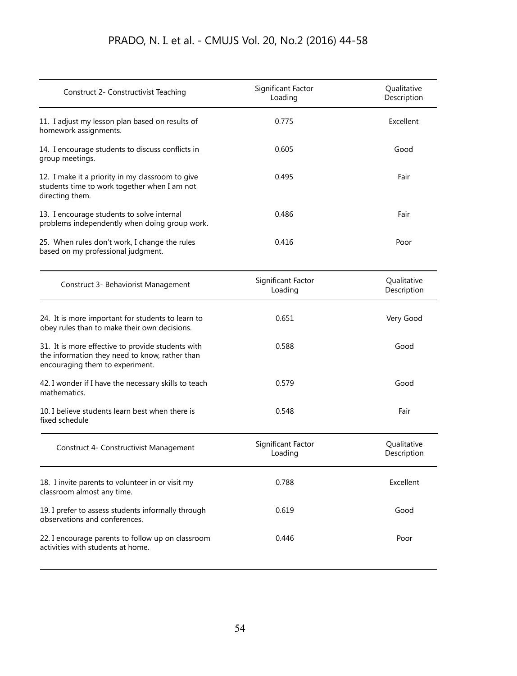| Construct 2- Constructivist Teaching                                                                                                   | Significant Factor<br>Loading | Qualitative<br>Description |  |
|----------------------------------------------------------------------------------------------------------------------------------------|-------------------------------|----------------------------|--|
| 11. I adjust my lesson plan based on results of<br>homework assignments.                                                               | 0.775                         | Excellent                  |  |
| 14. I encourage students to discuss conflicts in<br>group meetings.                                                                    | 0.605                         | Good                       |  |
| 12. I make it a priority in my classroom to give<br>students time to work together when I am not<br>directing them.                    | 0.495                         | Fair                       |  |
| 13. I encourage students to solve internal<br>problems independently when doing group work.                                            | 0.486                         | Fair                       |  |
| 25. When rules don't work, I change the rules<br>based on my professional judgment.                                                    | 0.416                         | Poor                       |  |
| Construct 3- Behaviorist Management                                                                                                    | Significant Factor<br>Loading | Qualitative<br>Description |  |
| 24. It is more important for students to learn to<br>obey rules than to make their own decisions.                                      | 0.651                         | Very Good                  |  |
| 31. It is more effective to provide students with<br>the information they need to know, rather than<br>encouraging them to experiment. | 0.588                         | Good                       |  |
| 42. I wonder if I have the necessary skills to teach<br>mathematics.                                                                   | 0.579                         | Good                       |  |
| 10. I believe students learn best when there is<br>fixed schedule                                                                      | 0.548                         | Fair                       |  |
| Construct 4- Constructivist Management                                                                                                 | Significant Factor<br>Loading | Qualitative<br>Description |  |
| 18. I invite parents to volunteer in or visit my<br>classroom almost any time.                                                         | 0.788                         | Excellent                  |  |
| 19. I prefer to assess students informally through<br>observations and conferences.                                                    | 0.619                         | Good                       |  |
| 22. I encourage parents to follow up on classroom<br>activities with students at home.                                                 | 0.446                         | Poor                       |  |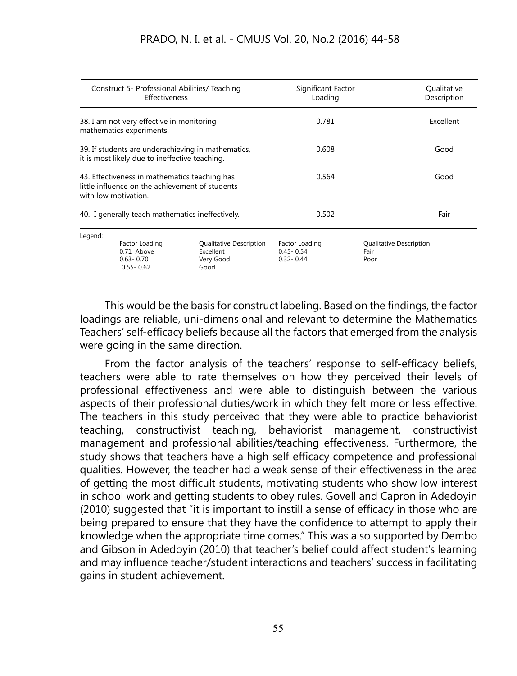| Construct 5- Professional Abilities/ Teaching<br><b>Effectiveness</b>                                                    |                                                                | Significant Factor<br>Loading                             | Qualitative<br>Description                       |                                         |
|--------------------------------------------------------------------------------------------------------------------------|----------------------------------------------------------------|-----------------------------------------------------------|--------------------------------------------------|-----------------------------------------|
| 38. I am not very effective in monitoring<br>mathematics experiments.                                                    |                                                                | 0.781                                                     | Excellent                                        |                                         |
| 39. If students are underachieving in mathematics,<br>it is most likely due to ineffective teaching.                     |                                                                | 0.608                                                     | Good                                             |                                         |
| 43. Effectiveness in mathematics teaching has<br>little influence on the achievement of students<br>with low motivation. |                                                                | 0.564                                                     | Good                                             |                                         |
| 40. I generally teach mathematics ineffectively.                                                                         |                                                                | 0.502                                                     | Fair                                             |                                         |
| Legend:                                                                                                                  | Factor Loading<br>0.71 Above<br>$0.63 - 0.70$<br>$0.55 - 0.62$ | Qualitative Description<br>Excellent<br>Very Good<br>Good | Factor Loading<br>$0.45 - 0.54$<br>$0.32 - 0.44$ | Qualitative Description<br>Fair<br>Poor |

This would be the basis for construct labeling. Based on the findings, the factor loadings are reliable, uni-dimensional and relevant to determine the Mathematics Teachers' self-efficacy beliefs because all the factors that emerged from the analysis were going in the same direction.

From the factor analysis of the teachers' response to self-efficacy beliefs, teachers were able to rate themselves on how they perceived their levels of professional effectiveness and were able to distinguish between the various aspects of their professional duties/work in which they felt more or less effective. The teachers in this study perceived that they were able to practice behaviorist teaching, constructivist teaching, behaviorist management, constructivist management and professional abilities/teaching effectiveness. Furthermore, the study shows that teachers have a high self-efficacy competence and professional qualities. However, the teacher had a weak sense of their effectiveness in the area of getting the most difficult students, motivating students who show low interest in school work and getting students to obey rules. Govell and Capron in Adedoyin (2010) suggested that "it is important to instill a sense of efficacy in those who are being prepared to ensure that they have the confidence to attempt to apply their knowledge when the appropriate time comes." This was also supported by Dembo and Gibson in Adedoyin (2010) that teacher's belief could affect student's learning and may influence teacher/student interactions and teachers' success in facilitating gains in student achievement.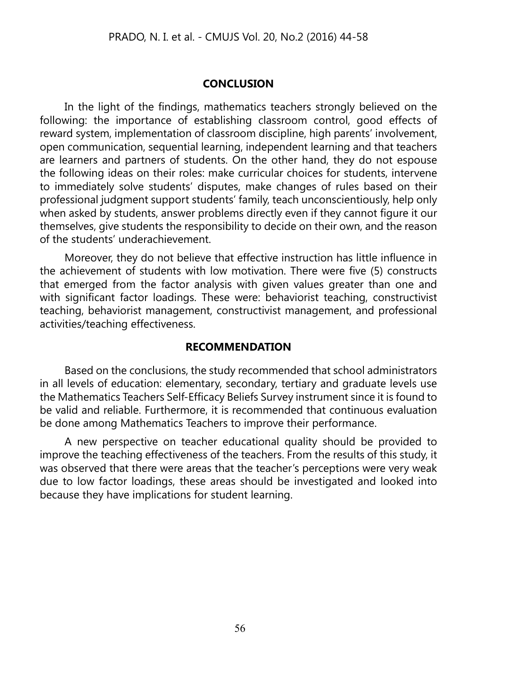#### **CONCLUSION**

In the light of the findings, mathematics teachers strongly believed on the following: the importance of establishing classroom control, good effects of reward system, implementation of classroom discipline, high parents' involvement, open communication, sequential learning, independent learning and that teachers are learners and partners of students. On the other hand, they do not espouse the following ideas on their roles: make curricular choices for students, intervene to immediately solve students' disputes, make changes of rules based on their professional judgment support students' family, teach unconscientiously, help only when asked by students, answer problems directly even if they cannot figure it our themselves, give students the responsibility to decide on their own, and the reason of the students' underachievement.

Moreover, they do not believe that effective instruction has little influence in the achievement of students with low motivation. There were five (5) constructs that emerged from the factor analysis with given values greater than one and with significant factor loadings. These were: behaviorist teaching, constructivist teaching, behaviorist management, constructivist management, and professional activities/teaching effectiveness.

#### **RECOMMENDATION**

Based on the conclusions, the study recommended that school administrators in all levels of education: elementary, secondary, tertiary and graduate levels use the Mathematics Teachers Self-Efficacy Beliefs Survey instrument since it is found to be valid and reliable. Furthermore, it is recommended that continuous evaluation be done among Mathematics Teachers to improve their performance.

A new perspective on teacher educational quality should be provided to improve the teaching effectiveness of the teachers. From the results of this study, it was observed that there were areas that the teacher's perceptions were very weak due to low factor loadings, these areas should be investigated and looked into because they have implications for student learning.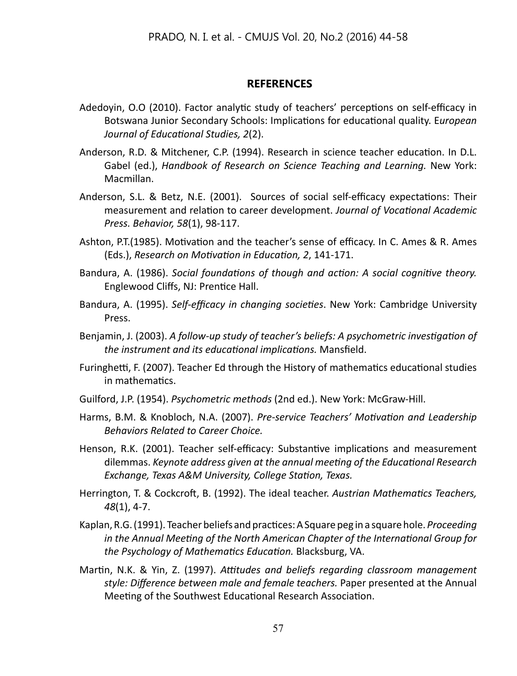#### **REFERENCES**

- Adedoyin, O.O (2010). Factor analytic study of teachers' perceptions on self-efficacy in Botswana Junior Secondary Schools: Implications for educational quality. E*uropean Journal of Educational Studies, 2*(2).
- Anderson, R.D. & Mitchener, C.P. (1994). Research in science teacher education. In D.L. Gabel (ed.), *Handbook of Research on Science Teaching and Learning.* New York: Macmillan.
- Anderson, S.L. & Betz, N.E. (2001). Sources of social self-efficacy expectations: Their measurement and relation to career development. *Journal of Vocational Academic Press. Behavior, 58*(1), 98-117.
- Ashton, P.T.(1985). Motivation and the teacher's sense of efficacy. In C. Ames & R. Ames (Eds.), *Research on Motivation in Education, 2*, 141-171.
- Bandura, A. (1986). *Social foundations of though and action: A social cognitive theory.* Englewood Cliffs, NJ: Prentice Hall.
- Bandura, A. (1995). *Self-efficacy in changing societies*. New York: Cambridge University Press.
- Benjamin, J. (2003). *A follow-up study of teacher's beliefs: A psychometric investigation of the instrument and its educational implications.* Mansfield.
- Furinghetti, F. (2007). Teacher Ed through the History of mathematics educational studies in mathematics.
- Guilford, J.P. (1954). *Psychometric methods* (2nd ed.). New York: McGraw-Hill.
- Harms, B.M. & Knobloch, N.A. (2007). *Pre-service Teachers' Motivation and Leadership Behaviors Related to Career Choice.*
- Henson, R.K. (2001). Teacher self-efficacy: Substantive implications and measurement dilemmas. *Keynote address given at the annual meeting of the Educational Research Exchange, Texas A&M University, College Station, Texas.*
- Herrington, T. & Cockcroft, B. (1992). The ideal teacher. *Austrian Mathematics Teachers, 48*(1), 4-7.
- Kaplan, R.G. (1991). Teacher beliefs and practices: A Square peg in a square hole. *Proceeding in the Annual Meeting of the North American Chapter of the International Group for the Psychology of Mathematics Education.* Blacksburg, VA.
- Martin, N.K. & Yin, Z. (1997). *Attitudes and beliefs regarding classroom management style: Difference between male and female teachers.* Paper presented at the Annual Meeting of the Southwest Educational Research Association.